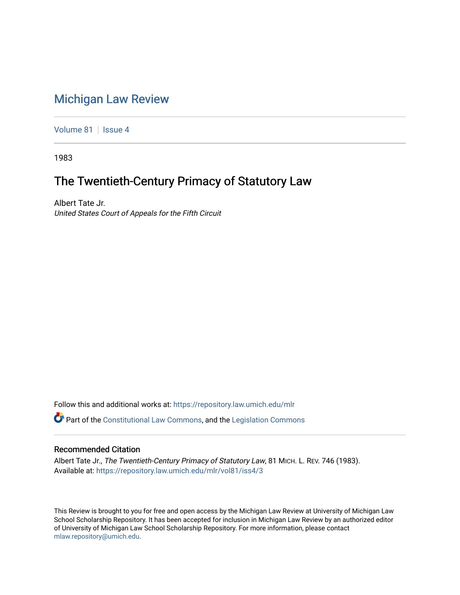# [Michigan Law Review](https://repository.law.umich.edu/mlr)

[Volume 81](https://repository.law.umich.edu/mlr/vol81) | [Issue 4](https://repository.law.umich.edu/mlr/vol81/iss4)

1983

## The Twentieth-Century Primacy of Statutory Law

Albert Tate Jr. United States Court of Appeals for the Fifth Circuit

Follow this and additional works at: [https://repository.law.umich.edu/mlr](https://repository.law.umich.edu/mlr?utm_source=repository.law.umich.edu%2Fmlr%2Fvol81%2Fiss4%2F3&utm_medium=PDF&utm_campaign=PDFCoverPages) 

 $\bullet$  Part of the [Constitutional Law Commons,](http://network.bepress.com/hgg/discipline/589?utm_source=repository.law.umich.edu%2Fmlr%2Fvol81%2Fiss4%2F3&utm_medium=PDF&utm_campaign=PDFCoverPages) and the Legislation Commons

### Recommended Citation

Albert Tate Jr., The Twentieth-Century Primacy of Statutory Law, 81 MICH. L. REV. 746 (1983). Available at: [https://repository.law.umich.edu/mlr/vol81/iss4/3](https://repository.law.umich.edu/mlr/vol81/iss4/3?utm_source=repository.law.umich.edu%2Fmlr%2Fvol81%2Fiss4%2F3&utm_medium=PDF&utm_campaign=PDFCoverPages)

This Review is brought to you for free and open access by the Michigan Law Review at University of Michigan Law School Scholarship Repository. It has been accepted for inclusion in Michigan Law Review by an authorized editor of University of Michigan Law School Scholarship Repository. For more information, please contact [mlaw.repository@umich.edu.](mailto:mlaw.repository@umich.edu)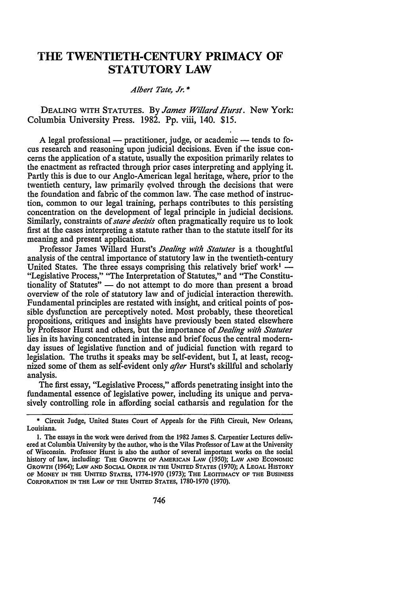### **THE TWENTIETH-CENTURY PRIMACY OF STATUTORY LAW**

#### *Albert Tate, Jr.\**

DEALING WITH STATUTES. By *James Willard Hurst.* New York: Columbia University Press. 1982. Pp. viii, 140. \$15.

A legal professional — practitioner, judge, or academic — tends to focus research and reasoning upon judicial decisions. Even if the issue concerns the application of a statute, usually the exposition primarily relates to the enactment as refracted through prior cases interpreting and applying it. Partly this is due to our Anglo-American legal heritage, where, prior to the twentieth century, law primarily evolved through the decisions that were the foundation and fabric of the common law. The case method of instruction, common to our legal training, perhaps contributes to this persisting concentration on the development of legal principle in judicial decisions. Similarly, constraints of *stare decisis* often pragmatically require us to look first at the cases interpreting a statute rather than to the statute itself for its meaning and present application.

Professor James Willard Hurst's *Dealing with Statutes* is a thoughtful analysis of the central importance of statutory law in the twentieth-century United States. The three essays comprising this relatively brief work<sup>1</sup> --"Legislative Process," "The Interpretation of Statutes," and "The Constitutionality of Statutes" - do not attempt to do more than present a broad overview of the role of statutory law and of judicial interaction therewith. Fundamental principles are restated with insight, and critical points of possible dysfunction are perceptively noted. Most probably, these theoretical propositions, critiques and insights have previously been stated elsewhere by Professor Hurst and others, but the importance of *Dealing with Statutes* lies in its having concentrated in intense and brief focus the central modernday issues of legislative function and of judicial function with regard to legislation. The truths it speaks may be self-evident, but I, at least, recognized some of them as self-evident only *after* Hurst's skillful and scholarly analysis.

The first essay, "Legislative Process," affords penetrating insight into the fundamental essence of legislative power, including its unique and pervasively controlling role in affording social catharsis and regulation for the

<sup>\*</sup> Circuit Judge, United States Court of Appeals for the Fifth Circuit, New Orleans, Louisiana.

I. The essays in the work were derived from the 1982 James S. Carpentier Lectures delivered at Columbia University by the author, who is the Vilas Professor of Law at the University of Wisconsin. Professor Hurst is also the author of several important works on the social history of law, including: THE GROWTH OF AMERICAN LAW (1950); LAW AND ECONOMIC GROWTH (1964); LAW AND SOCIAL ORDER IN THE UNITED STATES (1970); A LEGAL HISTORY OF MONEY IN THE UNITED STATES, 1774-1970 (1973); THE LEGITIMACY OF THE BUSINESS CORPORATION IN THE LAW OF THE UNITED STATES, 1780-1970 (1970).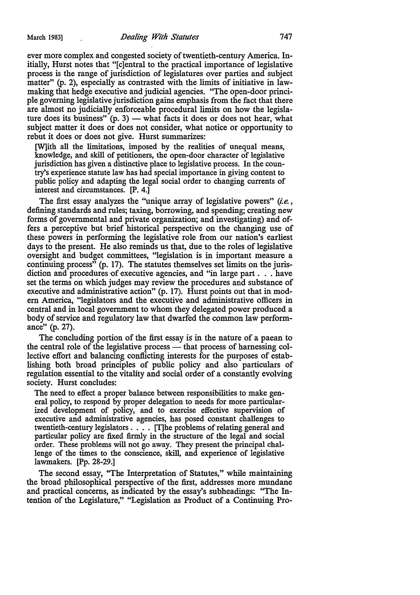ever more complex and congested society of twentieth-century America. Initially, Hurst notes that "[c]entral to the practical importance of legislative process is the range of jurisdiction of legislatures over parties and subject matter" (p. 2), especially as contrasted with the limits of initiative in lawmaking that hedge executive and judicial agencies. ''The open-door principle governing legislative jurisdiction gains emphasis from the fact that there are almost no judicially enforceable procedural limits on how the legislature does its business"  $(p. 3)$  — what facts it does or does not hear, what subject matter it does or does not consider, what notice or opportunity to rebut it does or does not give. Hurst summarizes:

[W]ith all the limitations, imposed by the realities of unequal means, knowledge, and skill of petitioners, the open-door character of legislative jurisdiction has given a distinctive place to legislative process. In the country's experience statute law has had special importance in giving content to public policy and adapting the legal social order to changing currents of interest and circumstances. **[P. 4.]** 

The first essay analyzes the "unique array of legislative powers" (*i.e.*, defining standards and rules; taxing, borrowing, and spending; creating new forms of governmental and private organization; and investigating) and offers a perceptive but brief historical perspective on the changing use of these powers in performing the legislative role from our nation's earliest days to the present. He also reminds us that, due to the roles of legislative oversight and budget committees, "legislation is in important measure a continuing process" (p. 17). The statutes themselves set limits on the jurisdiction and procedures of executive agencies, and "in large part  $\dots$  have set the terms on which judges may review the procedures and substance of executive and administrative action" (p. 17). Hurst points out that in modern America, "legislators and the executive and administrative officers in central and in local government to whom they delegated power produced a body of service and regulatory law that dwarfed the common law performance" (p. 27).

The concluding portion of the first essay is in the nature of a paean to the central role of the legislative process — that process of harnessing collective effort and balancing conflicting interests for the purposes of establishing both broad principles of public policy and also particulars of regulation essential to the vitality and social order of a constantly evolving society. Hurst concludes:

The need to effect a proper balance between responsibilities to make general policy, to respond by proper delegation to needs for more particularized development of policy, and to exercise effective supervision of executive and administrative agencies, has posed constant challenges to twentieth-century legislators . . . . [T]he problems of relating general and particular policy are fixed firmly in the structure of the legal and social order. These problems will not go away. They present the principal challenge of the times to the conscience, skill, and experience of legislative lawmakers. [Pp. 28-29.]

The second essay, "The Interpretation of Statutes," while maintaining the broad philosophical perspective of the first, addresses more mundane and practical concerns, as indicated by the essay's subheadings: ''The Intention of the Legislature," "Legislation as Product of a Continuing Pro-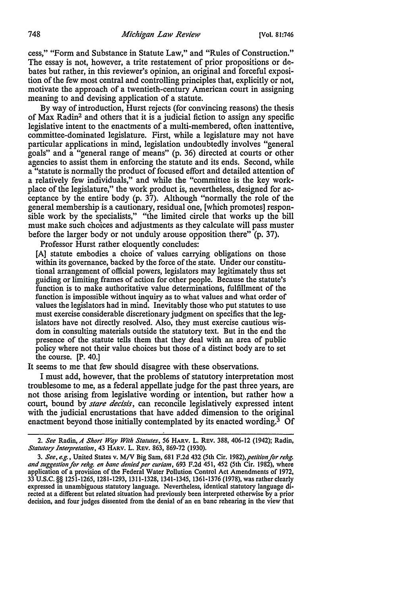cess," "Form and Substance in Statute Law," and "Rules of Construction." The essay is not, however, a trite restatement of prior propositions or debates but rather, in this reviewer's opinion, an original and forceful exposition of the few most central and controlling principles that, explicitly or not, motivate the approach of a twentieth-century American court in assigning meaning to and devising application of a statute.

By way of introduction, Hurst rejects (for convincing reasons) the thesis of Max Radin<sup>2</sup> and others that it is a judicial fiction to assign any specific legislative intent to the enactments of a multi-membered, often inattentive, committee-dominated legislature. First, while a legislature may not have particular applications in mind, legislation undoubtedly involves "general goals" and a "general range of means" (p. 36) directed at courts or other agencies to assist them in enforcing the statute and its ends. Second, while a "statute is normally the product of focused effort and detailed attention of a relatively few individuals," and while the "committee is the key workplace of the legislature," the work product is, nevertheless, designed for acceptance by the entire body (p. 37). Although "normally the role of the general membership is a cautionary, residual one, [which promotes] responsible work by the specialists," "the limited circle that works up the bill must make such choices and adjustments as they calculate will pass muster before the larger body or not unduly arouse opposition there" (p. 37).

Professor Hurst rather eloquently concludes:

[A] statute embodies a choice of values carrying obligations on those within its governance, backed by the force of the state. Under our constitutional arrangement of official powers, legislators may legitimately thus set guiding or limiting frames of action for other people. Because the statute's function is to make authoritative value determinations, fulfillment of the function is impossible without inquiry as to what values and what order of values the legislators had in mind. Inevitably those who put statutes to use must exercise considerable discretionary judgment on specifics that the legislators have not directly resolved. Also, they must exercise cautious wisdom in consulting materials outside the statutory text. But in the end the presence of the statute tells them that they deal with an area of public policy where not their value choices but those of a distinct body are to set the course. [P. 40.]

It seems to me that few should disagree with these observations.

I must add, however, that the problems of statutory interpretation most troublesome to me, as a federal appellate judge for the past three years, are not those arising from legislative wording or intention, but rather how a court, bound by *stare decisis,* can reconcile legislatively expressed intent with the judicial encrustations that have added dimension to the original enactment beyond those initially contemplated by its enacted wording.3 Of

<sup>2.</sup> *See* Radin,A *Short Way With Statutes,* 56 HARV. L. REV. 388, 406-12 (1942); Radin, *Statutory Interpretation,* 43 HARV. L. REV. 863, 869-72 (1930).

<sup>3.</sup> *See*, *e.g.*, United States v. M/V Big Sam, 681 F.2d 432 (5th Cir. 1982), petition for rehg. *and suggestion far rehg. en bane denied per curiam,* 693 F.2d 451, 452 (5th Cir. 1982), where application of a provision of the Federal Water Pollution Control Act Amendments of 1972, 33 U.S.C. §§ 1251-1265, 1281-1293, 1311-1328, 1341-1345, 1361-1376 (1978), was rather clearly expressed in unambiguous statutory language. Nevertheless, identical statutory language directed at a different but related situation had previously been interpreted otherwise by a prior decision, and four judges dissented from the denial of an en bane rehearing in the view that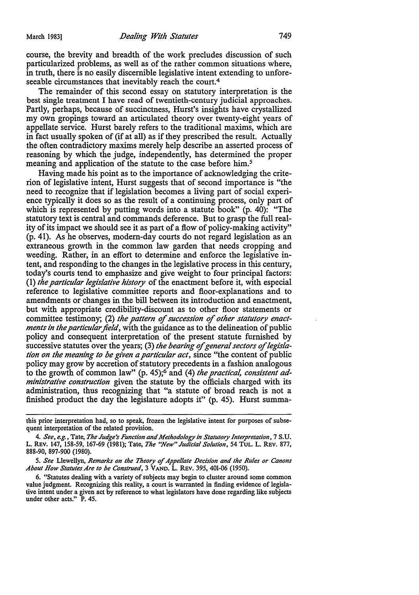course, the brevity and breadth of the work precludes discussion of such particularized problems, as well as of the rather common situations where, in truth, there is no easily discernible legislative intent extending to unforeseeable circumstances that inevitably reach the court.<sup>4</sup>

The remainder of this second essay on statutory interpretation is the best single treatment I have read of twentieth-century judicial approaches. Partly, perhaps, because of succinctness, Hurst's insights have crystallized my own gropings toward an articulated theory over twenty-eight years of appellate service. Hurst barely refers to the traditional maxims, which are in fact usually spoken of (if at all) as if they prescribed the result. Actually the often contradictory maxims merely help describe an asserted process of reasoning by which the judge, independently, has determined the proper meaning and application of the statute to the case before him.<sup>5</sup>

Having made his point as to the importance of acknowledging the criterion of legislative intent, Hurst suggests that of second importance is "the need to recognize that if legislation becomes a living part of social experience typically it does so as the result of a continuing process, only part of which is represented by putting words into a statute book" (p. 40): "The statutory text is central and commands deference. But to grasp the full reality of its impact we should see it as part of a flow of policy-making activity" (p. 41). As he observes, modern-day courts do not regard legislation as an extraneous growth in the common law garden that needs cropping and weeding. Rather, in an effort to determine and enforce the legislative intent, and responding to the changes in the legislative process in this century, today's courts tend to emphasize and give weight to four principal factors: (1) *the particular legislative history* of the enactment before it, with especial reference to legislative committee reports and floor-explanations and to amendments or changes in the bill between its introduction and enactment, but with appropriate credibility-discount as to other floor statements or committee testimony; (2) *the pattern* of *succession* of *other statutory enactments in the particular field,* with the guidance as to the delineation of public policy and consequent interpretation of the present statute furnished by successive statutes over the years; (3) *the bearing* of *general sectors* of *legislation on the meaning to be given a particular act,* since "the content of public policy may grow by accretion of statutory precedents in a fashion analogous to the growth of common law" (p. 45);6 and (4) *the practical, consistent administrative construction* given the statute by the officials charged with its administration, thus recognizing that "a statute of broad reach is not a finished product the day the legislature adopts it" (p. 45). Hurst summa-

this prior interpretation had, so to speak, frozen the legislative intent for purposes of subsequent interpretation of the related provision.

<sup>4.</sup> *See, e.g.,* Tate, *The Judge's Function and Methodology in Statutory Interpretation, 1* S.U. L. REV. 147, 158-59, 167-69 (1981); Tate, *The "New" Judicial Solution,* 54 TUL. L. REV. 877, 888-90, 897-900 (1980).

<sup>5.</sup> See Llewellyn, *Remarks on the Theory of Appellate Decision and the Rules or Canons About How Statutes Are to be Construed,* 3 V AND. L. REV. 395, 401-06 (1950).

<sup>6. &</sup>quot;Statutes dealing with a variety of subjects may begin to cluster around some common value judgment. Recognizing this reality, a court is warranted in finding evidence of legislative intent under a given act by reference to what legislators have done regarding like subjects under other acts." P. 45.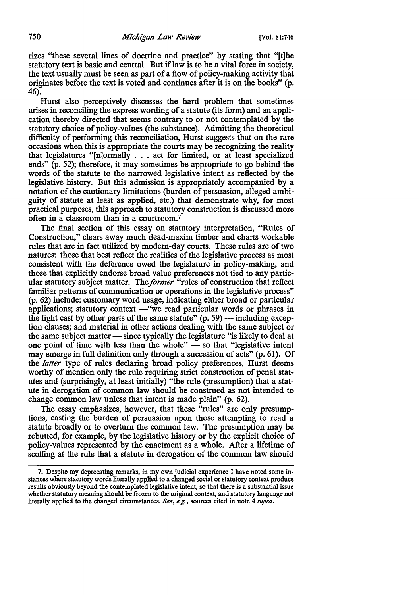rizes "these several lines of doctrine and practice" by stating that "[t]he statutory text is basic and central. But if law is to be a vital force in society, the text usually must be seen as part of a flow of policy-making activity that originates before the text is voted and continues after it is on the books" (p. 46).

Hurst also perceptively discusses the hard problem that sometimes arises in reconciling the express wording of a statute (its form) and an application thereby directed that seems contrary to or not contemplated by the statutory choice of policy-values (the substance). Admitting the theoretical difficulty of performing this reconciliation, Hurst suggests that on the rare occasions when this is appropriate the courts may be recognizing the reality that legislatures "(n]ormally . . . act for limited, or at least specialized ends" (p. 52); therefore, it may sometimes be appropriate to go behind the words of the statute to the narrowed legislative intent as reflected by the legislative history. But this admission is appropriately accompanied by a notation of the cautionary limitations (burden of persuasion, alleged ambiguity of statute at least as applied, etc.) that demonstrate why, for most practical purposes, this approach to statutory construction is discussed more often in a classroom than in a courtroom.7

The final section of this essay on statutory interpretation, "Rules of Construction," clears away much dead-maxim timber and charts workable rules that are in fact utilized by modem-day courts. These rules are of two natures: those that best reflect the realities of the legislative process as most consistent with the deference owed the legislature in policy-making, and those that explicitly endorse broad value preferences not tied to any particular statutory subject matter. The *former* "rules of construction that reflect familiar patterns of communication or operations in the legislative process" (p. 62) include: customary word usage, indicating either broad or particular applications; statutory context - "we read particular words or phrases in the light cast by other parts of the same statute"  $(p. 59)$  -- including exception clauses; and material in other actions dealing with the same subject or the same subject matter — since typically the legislature "is likely to deal at one point of time with less than the whole"  $-$  so that "legislative intent may emerge in full definition only through a succession of acts" (p. 61). Of the *latter* type of rules declaring broad policy preferences, Hurst deems worthy of mention only the rule requiring strict construction of penal statutes and (surprisingly, at least initially) "the rule (presumption) that a statute in derogation of common law should be construed as not intended to change common law unless that intent is made plain" (p. 62).

The essay emphasizes, however, that these "rules" are only presumptions, casting the burden of persuasion upon those attempting to read a statute broadly or to overturn the common law. The presumption may be rebutted, for example, by the legislative history or by the explicit choice of policy-values represented by the enactment as a whole. After a lifetime of scoffing at the rule that a statute in derogation of the common law should

<sup>7.</sup> Despite my deprecating remarks, in my own judicial experience I have noted some instances where statutory words literally applied to a changed social or statutory context produce results obviously beyond the contemplated legislative intent, so that there is a substantial issue whether statutory meaning should be frozen to the original context, and statutory language not literally applied to the changed circumstances. *See, e.g.* , sources cited in note 4 *supra.*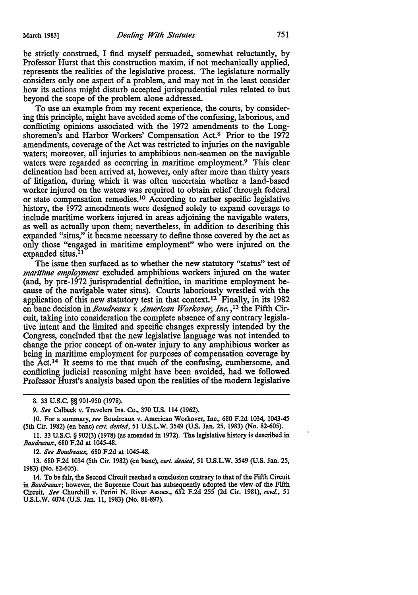be strictly construed, I find myself persuaded, somewhat reluctantly, by Professor Hurst that this construction maxim, if not mechanically applied, represents the realities of the legislative process. The legislature normally considers only one aspect of a problem, and may not in the least consider how its actions might disturb accepted jurisprudential rules related to but beyond the scope of the problem alone addressed.

To use an example from my recent experience, the courts, by considering this principle, might have avoided some of the confusing, laborious, and conflicting opinions associated with the 1972 amendments to the Longshoremen's and Harbor Workers' Compensation Act.<sup>8</sup> Prior to the 1972 amendments, coverage of the Act was restricted to injuries on the navigable waters; moreover, all injuries to amphibious non-seamen on the navigable waters were regarded as occurring in maritime employment.<sup>9</sup> This clear delineation had been arrived at, however, only after more than thirty years of litigation, during which it was often uncertain whether a land-based worker injured on the waters was required to obtain relief through federal or state compensation remedies.<sup>10</sup> According to rather specific legislative history, the 1972 amendments were designed solely to expand coverage to include maritime workers injured in areas adjoining the navigable waters, as well as actually upon them; nevertheless, in addition to describing this expanded "situs," it became necessary to define those covered by the act as only those "engaged in maritime employment" who were injured on the expanded situs.<sup>11</sup>

The issue then surfaced as to whether the new statutory "status" test of *maritime employment* excluded amphibious workers injured on the water (and, by pre-1972 jurisprudential definition, in maritime employment because of the navigable water situs). Courts laboriously wrestled with the application of this new statutory test in that context. 12 Finally, in its 1982 en bane decision in *Boudreaux v. American Workover, Inc.* , 13 the Fifth Circuit, taking into consideration the complete absence of any contrary legislative intent and the limited and specific changes expressly intended by the Congress, concluded that the new legislative language was not intended to change the prior concept of on-water injury to any amphibious worker as being in maritime employment for purposes of compensation coverage by the Act. 14 It seems to me that much of the confusing, cumbersome, and conflicting judicial reasoning might have been avoided, had we followed Professor Hurst's analysis based upon the realities of the modem legislative

12. *See Boudreaux,* 680 F.2d at 1045-48.

13. 680 F.2d 1034 (5th Cir. 1982) (en bane), *cert. denied,* 51 U.S.L.W. 3549 (U.S. Jan. 25, 1983) (No. 82-605).

14. To be fair, the Second Circuit reached a conclusion contrary to that of the Fifth Circuit in *Boudreaux;* however, the Supreme Court has subsequently adopted the view of the Fifth Circuit. *See* Churchill v. Perini N. River Assocs., 652 F.2d 255 (2d Cir. 1981), *revd.,* 51 U.S.L.W. 4074 (U.S. Jan. 11, 1983) (No. 81-897).

<sup>8. 33</sup> u.s.c. §§ 901-950 (1978).

<sup>9.</sup> *See* Calbeck v. Travelers Ins. Co., 370 U.S. 114 (1962).

<sup>10.</sup> For a summary, *see* Boudreaux v. American Workover, Inc., 680 F.2d 1034, 1043-45 (5th Cir. 1982) (en bane) *cert. denied,* 51 U.S.L.W. 3549 (U.S. Jan. 25, 1983) (No. 82-605).

<sup>11. 33</sup> U.S.C. § 902(3) (1978) (as amended in 1972). The legislative history is described in *Boudreaux,* 680 F.2d at 1045-48.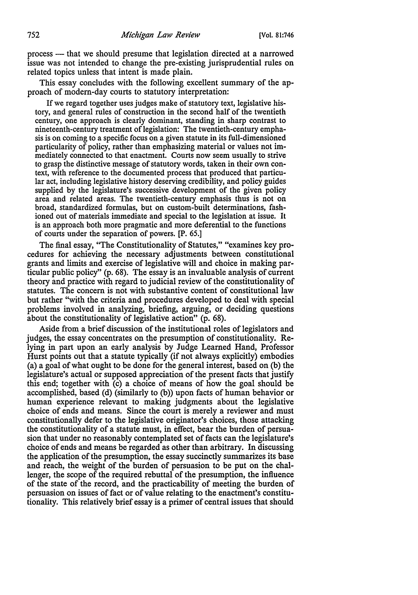process - that we should presume that legislation directed at a narrowed issue was not intended to change the pre-existing jurisprudential rules on related topics unless that intent is made plain.

This essay concludes with the following excellent summary of the approach of modem-day courts to statutory interpretation:

If we regard together uses judges make of statutory text, legislative history, and general rules of construction in the second half of the twentieth century, one approach is clearly dominant, standing in sharp contrast to nineteenth-century treatment of legislation: The twentieth-century emphasis is on coming to a specific focus on a given statute in its full-dimensioned particularity of policy, rather than emphasizing material or values not immediately connected to that enactment. Courts now seem usually to strive to grasp the distinctive message of statutory words, taken in their own context, with reference to the documented process that produced that particular act, including legislative history deserving credibility, and policy guides supplied by the legislature's successive development of the given policy area and related areas. The twentieth-century emphasis thus is not on broad, standardized formulas, but on custom-built determinations, fashioned out of materials immediate and special to the legislation at issue. It is an approach both more pragmatic and more deferential to the functions of courts under the separation of powers. [P. 65.]

The final essay, ''The Constitutionality of Statutes," "examines key procedures for achieving the necessary adjustments between constitutional grants and limits and exercise of legislative will and choice in making particular public policy" (p. 68). The essay is an invaluable analysis of current theory and practice with regard to judicial review of the constitutionality of statutes. The concern is not with substantive content of constitutional law but rather ''with the criteria and procedures developed to deal with special problems involved in analyzing, briefing, arguing, or deciding questions about the constitutionality of legislative action" (p. 68).

Aside from a brief discussion of the institutional roles of legislators and judges, the essay concentrates on the presumption of constitutionality. Relying in part upon an early analysis by Judge Learned Hand, Professor Hurst points out that a statute typically (if not always explicitly) embodies (a) a goal of what ought to be done for the general interest, based on (b) the legislature's actual or supposed appreciation of the present facts that justify this end; together with (c) a choice of means of how the goal should be accomplished, based (d) (similarly to (b)) upon facts of human behavior or human experience relevant to making judgments about the legislative choice of ends and means. Since the court is merely a reviewer and must constitutionally defer to the legislative originator's choices, those attacking the constitutionality of a statute must, in effect, bear the burden of persuasion that under no reasonably contemplated set of facts can the legislature's choice of ends and means be regarded as other than arbitrary. In discussing the application of the presumption, the essay succinctly summarizes its base and reach, the weight of the burden of persuasion to be put on the challenger, the scope of the required rebuttal of the presumption, the influence of the state of the record, and the practicability of meeting the burden of persuasion on issues of fact or of value relating to the enactment's constitutionality. This relatively brief essay is a primer of central issues that should